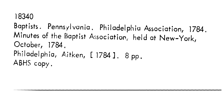### **18340**

Baptists. Pennsylvania. Philadelphia Association, 1784. Minutes of the Baptist Association, held at New-York, **October, 1784.**  Philadelphia, Aitken, [1784]. 8 pp. **ABHS copy.**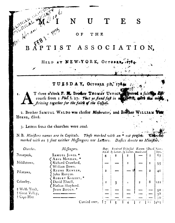#### N E S  $\mathbf{U}$

OF THE

Mr. Herami ASSOCIATION. BAPTIST

> NEW-YQRK, OCTOB HELD AT

## TUESDAY, OCTOBER 5th, 1764

T three o'clock P. M. Brother THOMA's USTICK. Swered a fuith I. course from 1 Phil. 1. 27. That ye fland faft in or spitels, with the mi Ariving together for the faith of the Gospel.

2. Brother SAMUEL WALDO was chofen Moderator, and Brother WILLIAM HORNE, Clerk.

3. Letters from the churches were read.

N. B. Minifters names are in Capitals. Those marked with an \* not prefert marked with an + fent neither Meffengers nor Letters. Daftes denote no Minifter.

| Churches.                                | Meffengers.                                                  | $Bap -$      |   | Received Difmified Excom- [Dead. Num-<br>tized. by Letter, by Letter, municated |                |                  | bers.          |
|------------------------------------------|--------------------------------------------------------------|--------------|---|---------------------------------------------------------------------------------|----------------|------------------|----------------|
| $P$ cnnepeck,                            | SAMUEL JONES. *                                              |              | 2 |                                                                                 |                |                  | 67             |
| Middletown,                              | <b>CABEL MORGAN, *</b><br>Richard Crawford,<br>William Bown. |              |   |                                                                                 |                |                  | 95             |
| Pifcatawa,                               | REUNE RUNYAN,<br>John Runyan.                                | $\mathbf{z}$ |   |                                                                                 |                | $\boldsymbol{2}$ | 4 <sup>°</sup> |
| Cohanfey,                                | <b>ROBERT KELSAY, *</b><br>David Elwell,<br>Nathan Shepherd. |              | 3 | Ł                                                                               | $\overline{2}$ | 8                | 121            |
| † Welfh Tract,                           | JOHN BOGGS. *                                                |              |   |                                                                                 |                |                  | 52             |
| $\dagger$ Great Valley,<br>$+$ Cape-May. |                                                              |              |   |                                                                                 |                |                  | 38<br>70       |
|                                          | Carried over,                                                |              |   |                                                                                 |                | LΣ               | 1483           |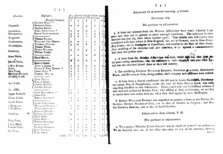| Churches.                                      | Messengers.                                           |                        | $B, \rho$ - Received Difmiffed   Excom. Dead   N<br>tized. by Letter. by Letter. manicated |                     |                         |                 |  |
|------------------------------------------------|-------------------------------------------------------|------------------------|--------------------------------------------------------------------------------------------|---------------------|-------------------------|-----------------|--|
|                                                | Brought forward,                                      | 7                      | 5                                                                                          | 4                   | 2                       | 12 <sub>1</sub> |  |
| Hopewell,                                      | OLIVER HART, *<br>Kathaniel Stout,<br>Stephen Barton. | $\dot{\mathbf{o}}$     | $\bullet$                                                                                  | $\mathbf{3}$        | $\mathbf O$             | 2               |  |
| Brandiwine,<br>Montgomery,                     | ABEL GRIFFITHS. *<br>DAVID LOOFBOURROW.               | $\bullet$<br>4         | $\bullet$<br>$\mathbf 2$                                                                   | ъ                   | I<br>$\bullet$          |                 |  |
|                                                |                                                       | $\mathbf{o}$           | $\bullet$                                                                                  | ı                   | $\overline{O}$          |                 |  |
| Kingwood,<br>Southampton,                      | Thomas Runyan.<br>WILLIAM VAN HORNE.                  | $\bullet$              | $\bullet$                                                                                  | I                   | O                       | ٥               |  |
| Philadelphia,                                  | THOMAS USTICK,<br>Thomas White.                       | 3                      | 12                                                                                         | 6                   | $\Omega$                |                 |  |
| Cranberry,                                     | PETER WILSON,<br>William Tindel.                      | 9                      | $\bullet$                                                                                  | 3                   | $\bullet$               | 0               |  |
| Scots Plains,                                  | David Morris.                                         | $\bullet$              | $\bullet$                                                                                  | $\bullet$           | $\bullet$               |                 |  |
| Morris-Town,                                   | Ezekiel Gobel.                                        | ❸                      | $\bullet$                                                                                  | $\bullet$           | $\mathbf O$             |                 |  |
| + New Britain,                                 | JOSHUA JONBS. *                                       | $\mathbf{o}$           | $\ddot{\mathbf{Q}}$                                                                        | $\circ$             | $\mathbf{o}$            | O               |  |
| Salem,                                         | PETER P. VAN HORNE. *                                 | $\circ$                | $\mathbf O$                                                                                | $\mathbf C$         | $\bullet$               |                 |  |
| New-Town,                                      | $\mathcal{F}$ JAMES EINN.                             | 2                      | $\Omega$                                                                                   | $\circ$             | $\boldsymbol{2}$        |                 |  |
| Pawling's Precinct,                            | SAMUEL WALSO.                                         | 5<br>$\ddot{\text{C}}$ | I                                                                                          |                     | $\overline{\mathbf{z}}$ | 0               |  |
| Dividing Creek,                                | JOHN $Gase$                                           | $\ddot{\mathbf{C}}$    | $\boldsymbol{2}$<br>$\mathbf C$                                                            | 1<br>$\mathcal{C}$  | $\circ$<br>$\mathbf C$  | 2<br>0          |  |
| New-York,                                      | Samuel Dodge,<br>Ezekiel Robbins,<br>Zebulon Barton.  |                        |                                                                                            |                     |                         |                 |  |
| New Mills,                                     |                                                       |                        | 1                                                                                          | $\mathbb{C}$        | $\bigcirc$              | 2               |  |
| Upper-Freehold,                                | 5 JOHN BL∆скwеll, *<br>James Cox.                     | ڗ                      | $\mathbf C$                                                                                | $\mathbf C$         | $\bullet$               | $\mathbf{l}$    |  |
| Mount Bethel,                                  | ABNER SUTTON. *                                       | $\circ$                | $\Omega$                                                                                   | $\circ$             | $\circ$                 | 0               |  |
| Lyons Farms,                                   |                                                       | $\circ$                | $\circ$                                                                                    | $\mathsf{C}$        | $\bullet$               | O               |  |
|                                                | Iccabod Grammon.                                      |                        |                                                                                            |                     |                         |                 |  |
| $\uparrow$ Pittfgrove,<br>† Tuckehoe,          | WILLIAM WORTE. *<br>WILLIAM LOCK. *                   | $\circ$<br>$\circ$     | $\mathbf C$<br>$\mathbf O$                                                                 | $\circ$             | $\mathcal{O}$           | $\circ$         |  |
|                                                | ELKANA HOLMES,                                        |                        |                                                                                            | $\ddot{\mathbf{O}}$ | $\circ$                 | $\mathbf C$     |  |
| $\frac{d\mathbf{r}}{d\mathbf{r}}$<br>Stamford, | Sylvenus Reynolds,<br>Elijah Hunt.                    | 19                     | $\mathbf{C}$                                                                               | $\hat{\mathbf{C}}$  | $\overline{z}$          | $\circ$         |  |
| King-Street,                                   | $\texttt{John Door}_3$<br>William Brundage.           | $\Omega$               | $\circ$                                                                                    | $\mathbf C$         | $\circ$                 | $\circ$         |  |
| $\pm$ Cow Marth,                               |                                                       | $\bigcirc$             | $\circ$                                                                                    | $\circ$             | $\circ$                 | $\circ$         |  |
| London Tract,                                  | THOMAS FLEESON.                                       | Ł                      | $\circ$                                                                                    | Ö                   | $\circ$                 | I.              |  |
| $Hill-Towu,$                                   | JOHN THOMAS,<br>Moste Aaron.                          | $\ddot{4}$             | $\circ$                                                                                    | $\circ$             | $\circ$                 | $\circ$         |  |
|                                                | Total,                                                | 166                    | 23                                                                                         | $21$                | Ģ                       | $133$ $1207$    |  |

Adjourned till to-morrow morning, 9 o'clock.

4. A letter and minutes from the Warren Affociation were read; whereby it appears that they are in general at peace amongst themselves. The additions to their shurches this year 58, their whole number 3561. That befides this Affeciation they eorrefpond with four others in New-England, viz. one in Vermont, one in New-Hampfhire Grants, one in Stonington in Counchicut, and another in the flate of New-Hampfoire, confifting of fix churches and 400 mearbers, which opened a communication with them this prefent year.

5. A letter from the Ketollen Affectation was read, which this was, that they anjoy peace among themselves; that the additions to their church. this year were 34; and that two churches joined them at their last meeting.

6. Our miniftring Brethren WILLIAM ROGERS, BURGESS ALLISON, EBENEZER WARD, and NICHULAS COX, being prefent, their company and affiftance were defired.

7. A letter from a church conflituted the laft year in Lower Smith fold, Northampton county, ftate of Pennfylvania, under the care of Elder DAVID JANE, was read, requefting admiffion to this Affociation. Upon a particular and fatisfactory relation of their faith and practice by Brother Cox, who affifted at their conflitution, we are free to receive them into union with us, when they fhall appear by their Meffengers.

8. Brother WILLIAM ROGERS was requested to prepare a letter to the Warren Affociation; Brother NICHOLAS COX, one to that of Ketoclon in Virginia; and Brother EzEKIEL ROBINS, one to that in South-Carolina.

9. To a query---Whether JESUS CHRIST was an object of prayer? we answer;---We are furprifed that one of our fifter churches, or any of the members thereof, fhould

# $\begin{pmatrix} 3 \end{pmatrix}$

#### OCTOBER 6th.

Met purfuant to adjournment.

Adjourned to three o'clock, P. M.

Met purfuant to adjournment.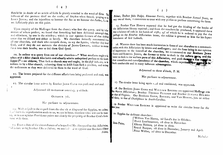fhould be in doubt of an article of faith fo plainly revealed in the word of  $Go_D$ . The inftance of the penitent thief on the crofs; of Stephen when ftoned, praying to the LORD JESUS; and the injunction to honour the Son as we honour the Father,  $\ell$ , c.  $\&$ are fufficiently plain on this point.

Upon enquiry of the Messenger from the church who fent the query, and by information of others prefent, we found that fomething had been delivered amongit them. and elfewhere, by one in the miniftry; which in our opinion favours of that deiftical error that we difcard and abhor as herefy. We therefore ferioufly recommend it to all our churches, and thofe who compofe them, to try the Spirits, whether they be of God, and if they do not maintain the divinity of JESUS CHRIST, neither to receive them into their houfes, nor to bid them God fpeed.

10. In answer to a query from one of our churches---" What meafures ought to be taken with a fifter church who holds and actually admits unbaptized perfons to the Lord's fupper ?"---we obferve, That fuch a church may and ought, in the first infrance, to be written to by a fifter church, exhorting them to defift from fuch a practice, and to keep the ordinances as they were delivered to them in the word of God.

II. The letters prepared for the different affociations being prefented and read, were approved.

12. The circular letter written by Brother JOHN GANO was prefented and read.

Adjourned till to-morrow morning, 9 o'clock.

OCTOBER 7th.

Met purfuant to adjournment.

13. With refpect to the request from the church at Kingwood for fupplies, we answer, That from the reprefentation made to us, we are in hopes tranfient vifits will not be wanted, as in our opinion Providence points out clearly the propriety of Brother Cox's fettlement with them.

14. From a ftate of the circumflances of a bequeft of Mr. Honeywell to this Affociation, bid before us by Brother Elkana Holmes, we are induced to appoint our Brethren Elkana  $H$ olmes,

Holmes, Doctor John Dodge, Ebenezer Ferris, together with Brother Samuel Jones, or any two of them, a committee to treat with any perfon or perfons concerning the fame.

15. Brother VAN HORNE reported that he had got the binding of the books of the Affociation library repaired; and from the vouchers he produced, it appeared there was a balance of cath in his hands of  $16/6$ ;  $4/6$  of which he is ordered to pay for the postage on the Ketocion Affociation letter, the refidue is granted to him for his fuperintendance of faid bufinefs.

16. Whereas there has been much inattention in fome of our churches to a communication with this Affociation by letters and meffengers; and the fame being in our opinion of importance to the intereft of the churches, we recommend to our Brethren JOHN GANO and SAMUEL JONES, the former to write to thofe in the eaftern perts, and the latter to those in the western parts of this Affociation, and press the the solution regard to that connection and correspondence of the churches, which experience has proved to be both comfortable and in many inftances advantageous.

Adjourned to three o'clock, P. M.

Met purfuant to adjournment.

18. Our Brethren JOHN GANO and WILLIAM ROGERS are appointed Meffenge s to the Warren Affociation; Brother THOMAS FLEESON and Brother ELKANA HOLMES to that of Virginia. Our Brethren GANO, ROGERS, and VAN HORNE, jun. or either of them, to that of Charlestown in South-Carolina.

19. Brother WILLIAM ROGERS is appointed to write the circular letter for the hext year.

20. Supplies for deftitute churches : [William Van Horne, 2d Lord's day in October. David Loofbourrow, 1st ditto in November. Scots Plains, Elkana Holmes, 3d ditto in ditto. Reuné Runyan, 1st ditto in December, January and April. Peter Wilfon, 2d ditto in December.

17. The circular letter being again 1.ad and confidered, was approved.

Nicholas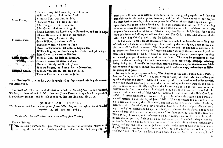$6 \rightarrow$ 

Scots Plains,

Morris-Town,

Dividing Creok.

[Nicholas Cox, 2d Lord's day in February. William Rogers, 2d ditto in April. Nicholas Cox, 4th ditto in May. Ebenezer Ward, 1st ditto in June. John Dodge, 2d ditto in ditto. John Gano, 2d ditto in Auguft. Reuné Runyan, 2d Lord's day in November, and 1st in August Elkana Holmes, 4th ditto in November. Nicholas Cox, 3d ditto in May. Peter Wilfon, 4th ditto in ditto. Ebenezer Ward, 3d ditto in June. David Loofbourrow, ift ditto in September. William Rogers, 2d Lord's day in October and 3d in Apris. John Gano, 4th ditto in October. Nicholas Cox, 3d ditto in February. Reuné Runyan, 2d ditto in April. Ebenezer Ward, 2d ditto in June. William Rogers, 2d Lord's day in November. William Van Horne, 4th ditto in ditto. Thomas Fleefon, 4th ditto in June.

21. Brother WILLIAM ROGERS is appointed to fuperintend printing the minutes of mis Affeciation.

22. Refolved, That our next affeciation be held at Philadelthia, the first Tuelday in October, at three o'clock P. M. Brother JOHN DODGE is appointed to preach we Introductory Sermon, and in cafe of failure, Brother ELKANA HOLMES.

#### (CIRCULAR LETTER.)

The ELDERS and BRETHREN of the feveral Churches, met in Affociation at New-Ikh Oflober 5th, 6th, and 7th, 1784;

To the Churches with whom we are connected, fend Greeting:

Dearly Beloved,

THE THE preceding minutes will give you every neceffary information relative to on Deting, the ftate of our churches, and our endeavours for their profperity.

trul

truft, you will unite your efforts, with ours, to the fame good purpofe; and that our thanksgivings for the prefent peace, harmony and increafe of our churches, our prayers for their further growth, with a more powerful effusion of the divine Spirit and grace upon them, will be mutually offered up. May the confideration of our effectual calling prove an incentive thereunto! Which is the subject now to be confidered, as in 10th chapter of our confeffion of faith. That we may investigate this fubject as fully as the limits of a letter will allow, we will confider, 1ft. The Call. 2dly. The Author of the Cail. 3dly. The Called; and, 4thly. Its Efficacy.

1ft. The Call. This is an act of fovereign grace, which flows from the everlafting love of God, and is fuch an irrefiftible impreffion, made by the holy Spirit, upon the human foul, as to effect a bleffed change. This impreffion or call is fometimes immediate, as in the inflance of Paul and others; tho' more ordinarily through the infirument lity of the word and providence of God. Though in both the impreffion or power upon the foul or rational principle of operation muft be the fame. This may be confidered as one power capable of exerting itfelf in various modes; as in perceiving, chafieg, refuting, loving, hating, &c. Likewife the impreffion before mentioned may be viewed as one fpiritual principle of operation in the foul, exerting itfelf in divers ways, rather than' as different principles of grace.

We are, in the 2d place, to confider, The Author of the Call, who is God; Father, Son, and Spirit, as in I Theff. ii. 12. that ye walk worthy of God, who hath called you unto his kingdom and glory. Alfo, in 2 Tim. i. 9. who hath faved us and called us with an holy calling, not according to our works, but according to his own purpofe and grace, &c. In others it more directly applies to the Father, who is faid to call them unto the fellow thip of his Son. Sometimes it is afcribed to the Son, as in Proverbs i. 20 and viii ch. faints are faid to be called of Jefus Chrift. Laftly, Ir is afcribed to the Holy Ghoft, as in Phil. i. 6 being confident of this very thing that he who hath begun a good work in you will perform it until the day of Jefus Chrift. Upon the whole this call is heard, as it is in deed and in truth, the call of God, and not the voice of man. Which leads us, 3dly. To confider the called, and they are fuch as God hath chofen and predeftinated both to grace and glory, elected and fet apart in Chrift, as redeemed by his blood, although by nature children of wrath even as others, not of the Jews only, but alfo of the Gentiles. This is an holy, heavenly, and confequently an high calling: and is effectual to bring the fubjects of it to a piercing fenfe of their guilt and impurity. The mind is deeply convicted, that the fountain is in his very heart or nature from which all its criminal actions have fprung; and that the luft within difpofes us to vio ate the laws of God in as great a variety of ways as nature is capable of exerting itfelf, agreeable to Paul's expreflion, fin revived and I died. The foul is affected with a view of its finfulnefs and the malignity of **TEL**